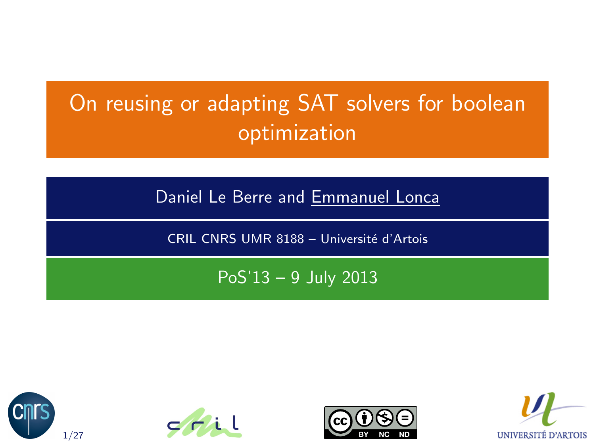# On reusing or adapting SAT solvers for boolean optimization

Daniel Le Berre and Emmanuel Lonca

CRIL CNRS UMR 8188 - Université d'Artois

PoS'13 – 9 July 2013







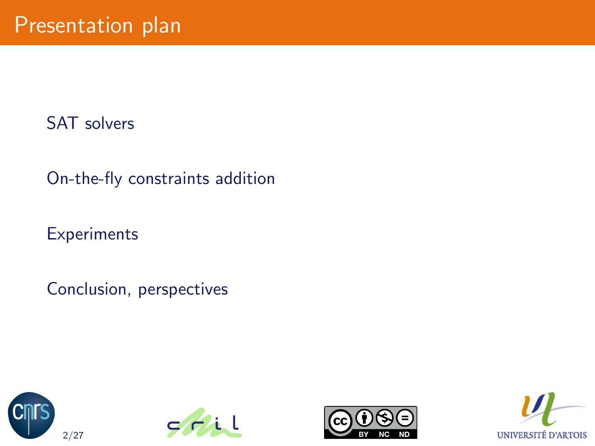[SAT solvers](#page-2-0)

[On-the-fly constraints addition](#page-17-0)

**[Experiments](#page-31-0)** 

[Conclusion, perspectives](#page-40-0)







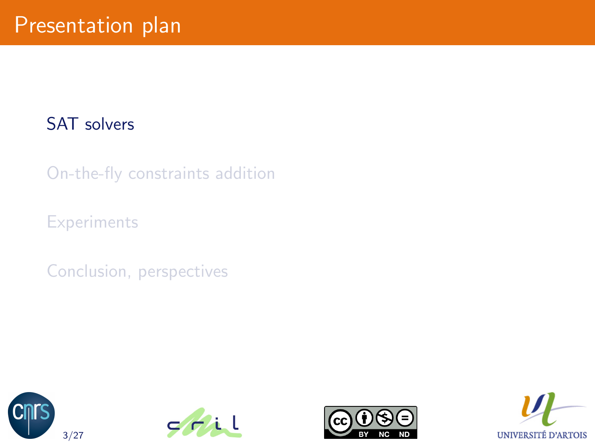#### [SAT solvers](#page-2-0)

[On-the-fly constraints addition](#page-17-0)

**[Experiments](#page-31-0)** 

[Conclusion, perspectives](#page-40-0)







<span id="page-2-0"></span>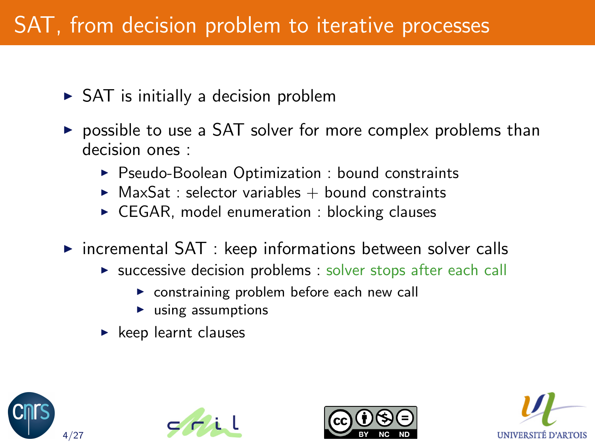# SAT, from decision problem to iterative processes

- $\triangleright$  SAT is initially a decision problem
- $\triangleright$  possible to use a SAT solver for more complex problems than decision ones :
	- ▶ Pseudo-Boolean Optimization : bound constraints
	- $\triangleright$  MaxSat : selector variables  $+$  bound constraints
	- $\triangleright$  CEGAR, model enumeration : blocking clauses
- $\triangleright$  incremental SAT : keep informations between solver calls
	- $\triangleright$  successive decision problems : solver stops after each call
		- $\triangleright$  constraining problem before each new call
		- $\blacktriangleright$  using assumptions
	- $\blacktriangleright$  keep learnt clauses







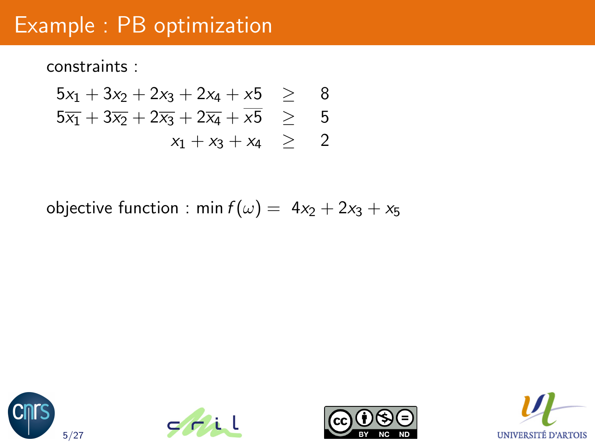constraints :

$$
5x_1 + 3x_2 + 2x_3 + 2x_4 + x5 \ge 8
$$
  
\n
$$
5x_1 + 3x_2 + 2x_3 + 2x_4 + x5 \ge 5
$$
  
\n
$$
x_1 + x_3 + x_4 \ge 2
$$

objective function : min  $f(\omega) = 4x_2 + 2x_3 + x_5$ 







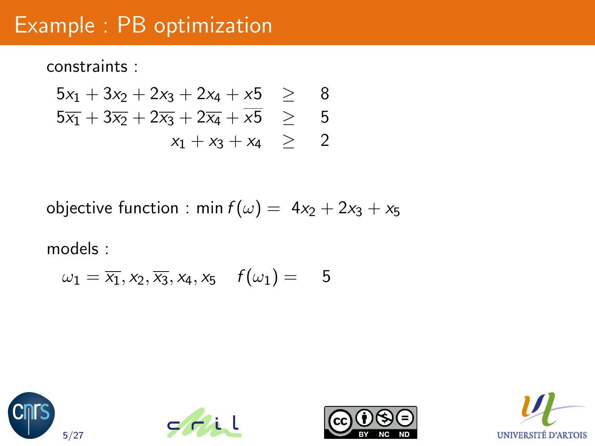constraints :

$$
5x_1 + 3x_2 + 2x_3 + 2x_4 + x5 \ge 8
$$
  
\n
$$
5x_1 + 3x_2 + 2x_3 + 2x_4 + x5 \ge 5
$$
  
\n
$$
x_1 + x_3 + x_4 \ge 2
$$

objective function : min  $f(\omega) = 4x_2 + 2x_3 + x_5$ 

$$
\omega_1 = \overline{x_1}, x_2, \overline{x_3}, x_4, x_5 \quad f(\omega_1) = 5
$$







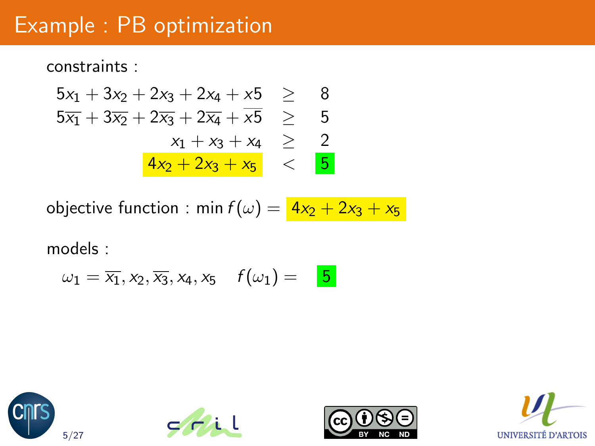constraints :

$$
5x_1 + 3x_2 + 2x_3 + 2x_4 + x5 \ge 8
$$
  
\n
$$
5x_1 + 3x_2 + 2x_3 + 2x_4 + x5 \ge 5
$$
  
\n
$$
x_1 + x_3 + x_4 \ge 2
$$
  
\n
$$
\frac{4x_2 + 2x_3 + x_5}{x_1 + x_2 + x_3} < 5
$$

objective function : min  $f(\omega) = \frac{4x_2 + 2x_3 + x_5}{2}$ 

$$
\omega_1 = \overline{x_1}, x_2, \overline{x_3}, x_4, x_5 \quad f(\omega_1) = \boxed{5}
$$







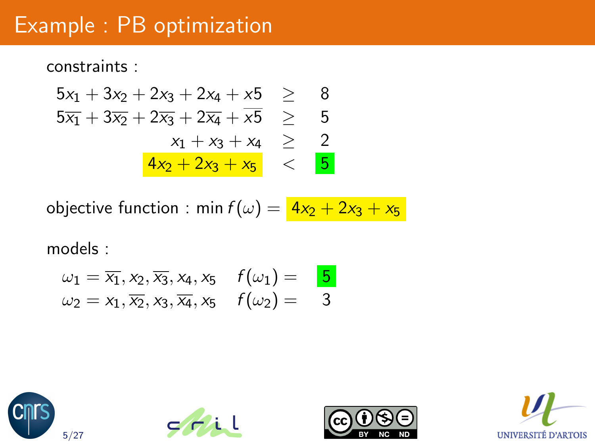constraints :

$$
5x_1 + 3x_2 + 2x_3 + 2x_4 + x5 \ge 8
$$
  
\n
$$
5x_1 + 3x_2 + 2x_3 + 2x_4 + x5 \ge 5
$$
  
\n
$$
x_1 + x_3 + x_4 \ge 2
$$
  
\n
$$
\frac{4x_2 + 2x_3 + x_5}{x_1 + x_2 + x_3} < 5
$$

objective function : min  $f(\omega) = \frac{4x_2 + 2x_3 + x_5}{2}$ 

$$
\omega_1 = \overline{x_1}, x_2, \overline{x_3}, x_4, x_5 \quad f(\omega_1) = \mathbf{5}
$$
  

$$
\omega_2 = x_1, \overline{x_2}, x_3, \overline{x_4}, x_5 \quad f(\omega_2) = 3
$$







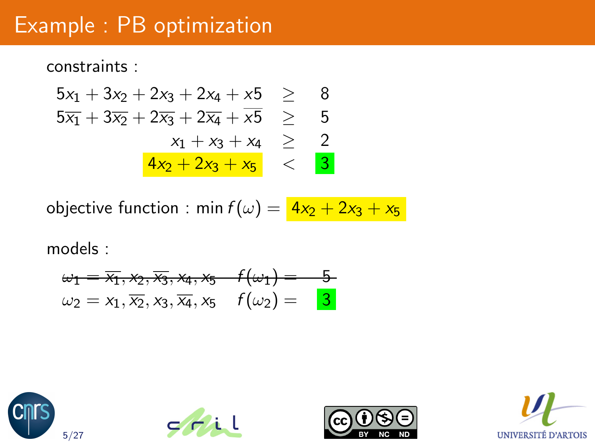constraints :

$$
5x_1 + 3x_2 + 2x_3 + 2x_4 + x5 \ge 8
$$
  
\n
$$
5x_1 + 3x_2 + 2x_3 + 2x_4 + x5 \ge 5
$$
  
\n
$$
x_1 + x_3 + x_4 \ge 2
$$
  
\n
$$
\frac{4x_2 + 2x_3 + x_5}{x_1 + x_2 + x_3} < 3
$$

objective function : min  $f(\omega) = \frac{4x_2 + 2x_3 + x_5}{2}$ 

$$
\omega_1 = \overline{x_1}, x_2, \overline{x_3}, x_4, x_5 \quad f(\omega_1) = 5 \n\omega_2 = x_1, \overline{x_2}, x_3, \overline{x_4}, x_5 \quad f(\omega_2) = 3
$$







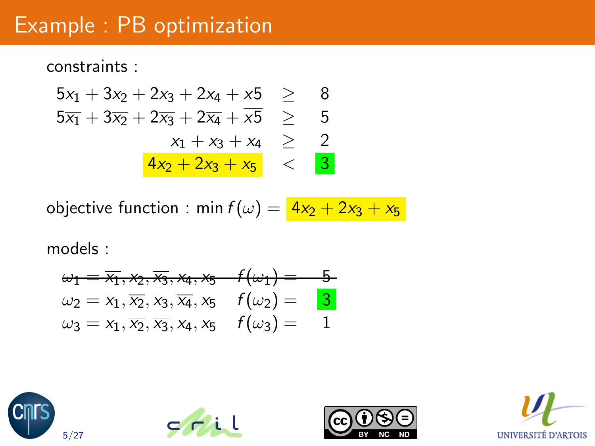constraints :

$$
5x_1 + 3x_2 + 2x_3 + 2x_4 + x5 \ge 8
$$
  
\n
$$
5x_1 + 3x_2 + 2x_3 + 2x_4 + x5 \ge 5
$$
  
\n
$$
x_1 + x_3 + x_4 \ge 2
$$
  
\n
$$
\frac{4x_2 + 2x_3 + x_5}{x_1 + x_2 + x_3} < 3
$$

objective function : min  $f(\omega) = \frac{4x_2 + 2x_3 + x_5}{2}$ 

$$
\begin{array}{lll}\n\omega_1 = \overline{x_1}, \mathsf{x}_2, \overline{x_3}, \mathsf{x}_4, \mathsf{x}_5 & f(\omega_1) = 5 \\
\omega_2 = x_1, \overline{x_2}, x_3, \overline{x_4}, x_5 & f(\omega_2) = 3 \\
\omega_3 = x_1, \overline{x_2}, \overline{x_3}, x_4, x_5 & f(\omega_3) = 1\n\end{array}
$$







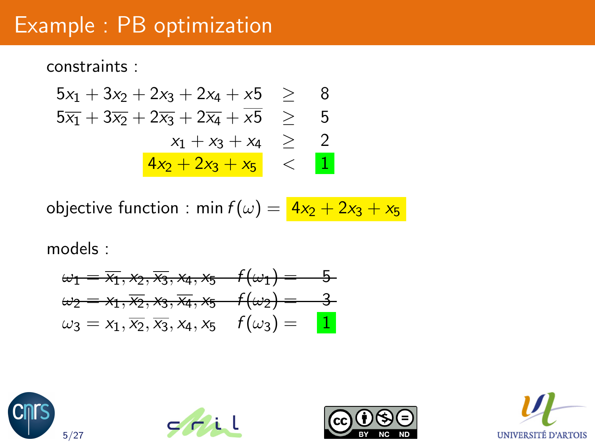constraints :

$$
5x_1 + 3x_2 + 2x_3 + 2x_4 + x5 \ge 8
$$
  
\n
$$
5x_1 + 3x_2 + 2x_3 + 2x_4 + x5 \ge 5
$$
  
\n
$$
x_1 + x_3 + x_4 \ge 2
$$
  
\n
$$
\frac{4x_2 + 2x_3 + x_5}{x_1 + x_2 + x_3} < 1
$$

objective function : min  $f(\omega) = \frac{4x_2 + 2x_3 + x_5}{2}$ 

$$
\omega_1 = \overline{x_1}, \overline{x_2}, \overline{x_3}, \overline{x_4}, \overline{x_5} \quad f(\omega_1) = 5 \n\omega_2 = x_1, \overline{x_2}, x_3, \overline{x_4}, x_5 \quad f(\omega_2) = 3 \n\omega_3 = x_1, \overline{x_2}, \overline{x_3}, x_4, x_5 \quad f(\omega_3) = 1
$$







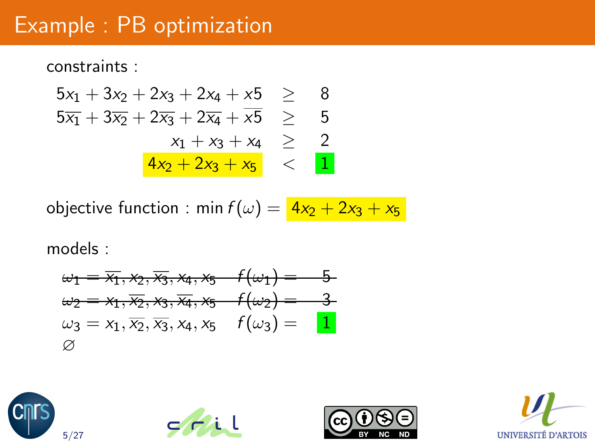constraints :

$$
5x_1 + 3x_2 + 2x_3 + 2x_4 + x5 \ge 8
$$
  
\n
$$
5x_1 + 3x_2 + 2x_3 + 2x_4 + x5 \ge 5
$$
  
\n
$$
x_1 + x_3 + x_4 \ge 2
$$
  
\n
$$
\frac{4x_2 + 2x_3 + x_5}{x_1 + x_2 + x_3} < 1
$$

objective function : min  $f(\omega) = \frac{4x_2 + 2x_3 + x_5}{2}$ 

$$
\omega_1 = \overline{x_1}, \overline{x_2}, \overline{x_3}, \overline{x_4}, \overline{x_5} \quad f(\omega_1) = 5 \n\omega_2 = x_1, \overline{x_2}, x_3, \overline{x_4}, x_5 \quad f(\omega_2) = 3 \n\omega_3 = x_1, \overline{x_2}, \overline{x_3}, x_4, x_5 \quad f(\omega_3) = 1 \n\varnothing
$$







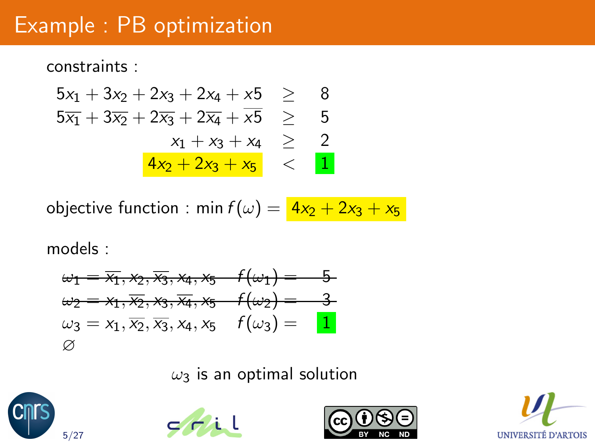constraints :

$$
5x_1 + 3x_2 + 2x_3 + 2x_4 + x5 \ge 8
$$
  
\n
$$
5x_1 + 3x_2 + 2x_3 + 2x_4 + x5 \ge 5
$$
  
\n
$$
x_1 + x_3 + x_4 \ge 2
$$
  
\n
$$
\frac{4x_2 + 2x_3 + x_5}{x_1 + x_2 + x_3} < 1
$$

objective function : min  $f(\omega) = \frac{4x_2 + 2x_3 + x_5}{2}$ 

models :

$$
\omega_1 = \overline{x_1}, \overline{x_2}, \overline{x_3}, \overline{x_4}, \overline{x_5} \quad f(\omega_1) = 5 \n\omega_2 = x_1, \overline{x_2}, \overline{x_3}, \overline{x_4}, \overline{x_5} \quad f(\omega_2) = 3 \n\omega_3 = x_1, \overline{x_2}, \overline{x_3}, x_4, x_5 \quad f(\omega_3) = 1
$$
\n
$$
\varnothing
$$

 $\omega_3$  is an optimal solution







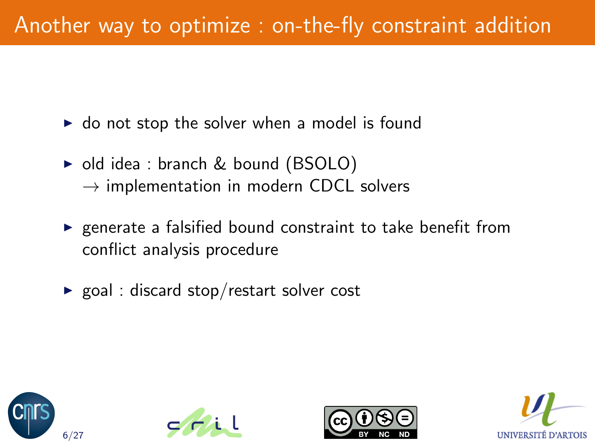- $\triangleright$  do not stop the solver when a model is found
- $\triangleright$  old idea : branch & bound (BSOLO)  $\rightarrow$  implementation in modern CDCL solvers
- $\triangleright$  generate a falsified bound constraint to take benefit from conflict analysis procedure
- $\triangleright$  goal : discard stop/restart solver cost







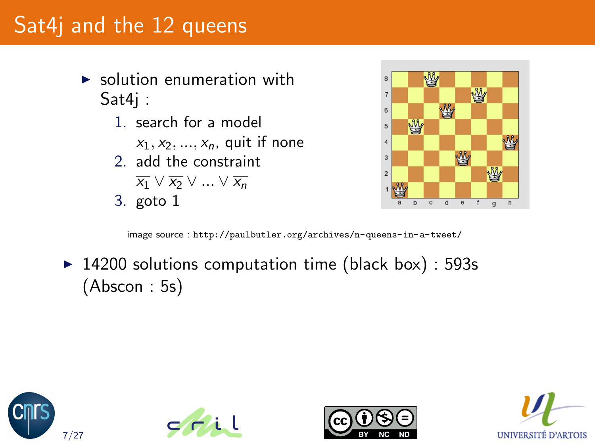# Sat4j and the 12 queens

- $\triangleright$  solution enumeration with Sat4j :
	- 1. search for a model
		- $x_1, x_2, ..., x_n$ , quit if none
	- 2. add the constraint
		- $\overline{x_1} \vee \overline{x_2} \vee \ldots \vee \overline{x_n}$
	- 3. goto 1



image source : <http://paulbutler.org/archives/n-queens-in-a-tweet/>

 $\blacktriangleright$  14200 solutions computation time (black box) : 593s (Abscon : 5s)







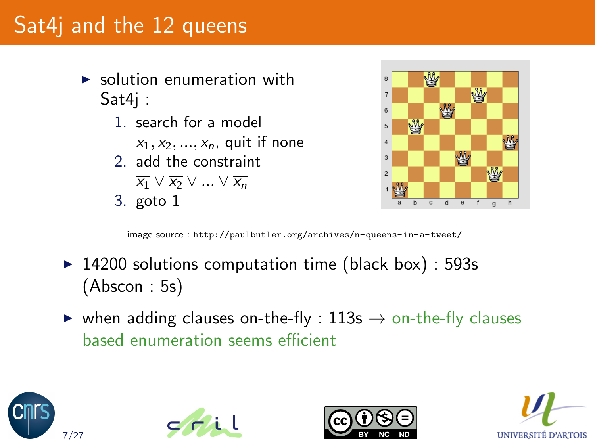# Sat4j and the 12 queens

- $\triangleright$  solution enumeration with Sat4j :
	- 1. search for a model
		- $x_1, x_2, ..., x_n$ , quit if none
	- 2. add the constraint
		- $\overline{x_1} \vee \overline{x_2} \vee ... \vee \overline{x_n}$
	- 3. goto 1



image source : <http://paulbutler.org/archives/n-queens-in-a-tweet/>

- $\blacktriangleright$  14200 solutions computation time (black box) : 593s (Abscon : 5s)
- $\triangleright$  when adding clauses on-the-fly : 113s  $\rightarrow$  on-the-fly clauses based enumeration seems efficient







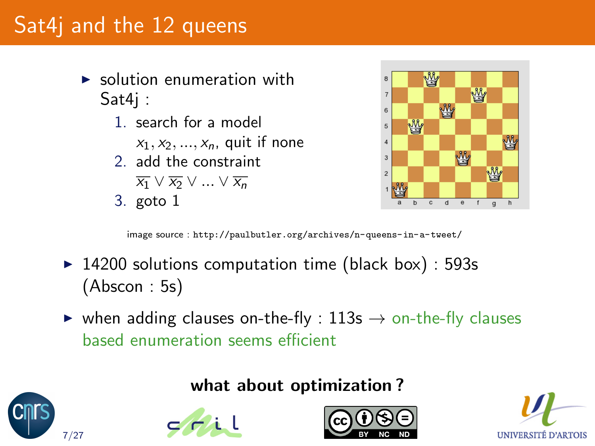# Sat4j and the 12 queens

- $\triangleright$  solution enumeration with Sat4j :
	- 1. search for a model
		- $x_1, x_2, ..., x_n$ , quit if none
	- 2. add the constraint
		- $\overline{x_1} \vee \overline{x_2} \vee ... \vee \overline{x_n}$
	- 3. goto 1

7/27



image source : <http://paulbutler.org/archives/n-queens-in-a-tweet/>

- $\blacktriangleright$  14200 solutions computation time (black box) : 593s (Abscon : 5s)
- $\triangleright$  when adding clauses on-the-fly : 113s  $\rightarrow$  on-the-fly clauses based enumeration seems efficient

#### [what a](http://www.cril.fr/)bout opti[mization ?](http://creativecommons.org/about/licenses/)





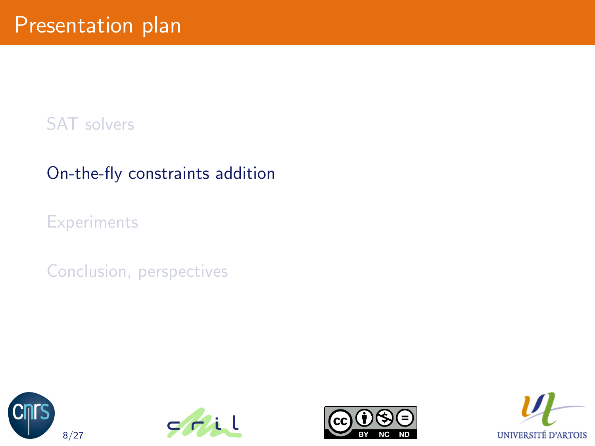#### [SAT solvers](#page-2-0)

#### [On-the-fly constraints addition](#page-17-0)

**[Experiments](#page-31-0)** 

[Conclusion, perspectives](#page-40-0)







<span id="page-17-0"></span>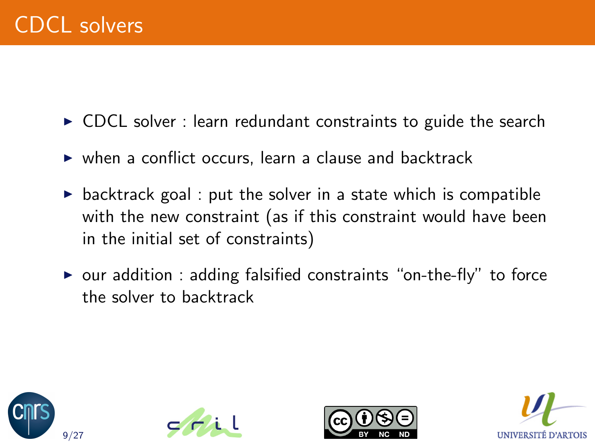- $\triangleright$  CDCL solver : learn redundant constraints to guide the search
- $\triangleright$  when a conflict occurs, learn a clause and backtrack
- $\triangleright$  backtrack goal : put the solver in a state which is compatible with the new constraint (as if this constraint would have been in the initial set of constraints)
- $\triangleright$  our addition : adding falsified constraints "on-the-fly" to force the solver to backtrack







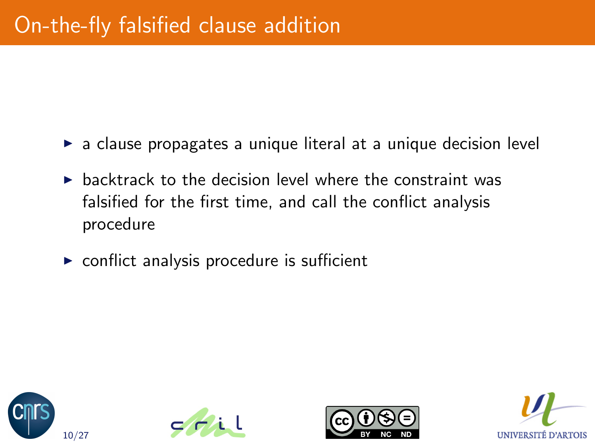- $\triangleright$  a clause propagates a unique literal at a unique decision level
- $\triangleright$  backtrack to the decision level where the constraint was falsified for the first time, and call the conflict analysis procedure
- $\triangleright$  conflict analysis procedure is sufficient







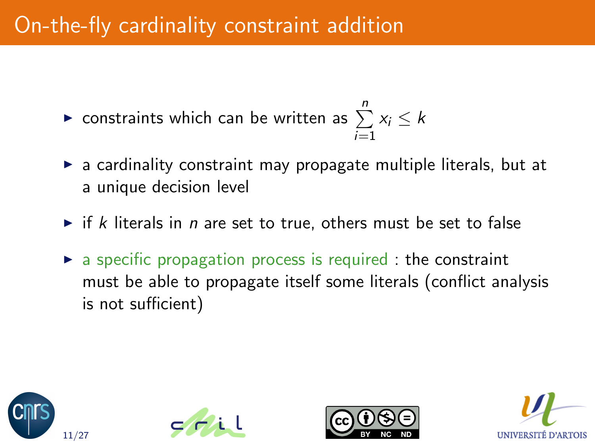# On-the-fly cardinality constraint addition

- $\blacktriangleright$  constraints which can be written as  $\sum^{n}$  $i=1$  $x_i \leq k$
- $\triangleright$  a cardinality constraint may propagate multiple literals, but at a unique decision level
- $\triangleright$  if k literals in n are set to true, others must be set to false
- $\triangleright$  a specific propagation process is required : the constraint must be able to propagate itself some literals (conflict analysis is not sufficient)







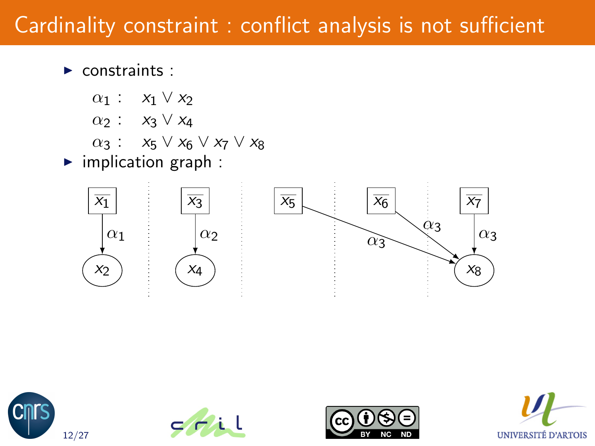$\blacktriangleright$  constraints :

- $\alpha_1$  :  $x_1 \vee x_2$
- $\alpha_2$  :  $x_3 \vee x_4$
- $\alpha_3$  :  $x_5 \vee x_6 \vee x_7 \vee x_8$
- $\blacktriangleright$  implication graph :









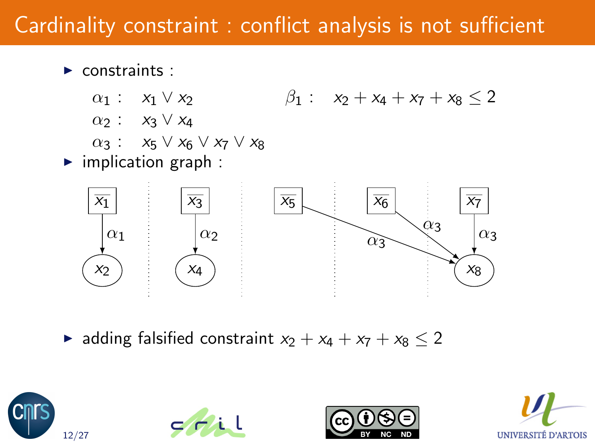$\blacktriangleright$  constraints :

- $\alpha_1: x_1 \vee x_2 \qquad \beta_1: x_2 + x_4 + x_7 + x_8 \leq 2$
- $\alpha_2$  :  $x_3 \vee x_4$
- $\alpha_3$  :  $x_5 \vee x_6 \vee x_7 \vee x_8$
- $\blacktriangleright$  implication graph :



► adding falsified constraint  $x_2 + x_4 + x_7 + x_8 \le 2$ 







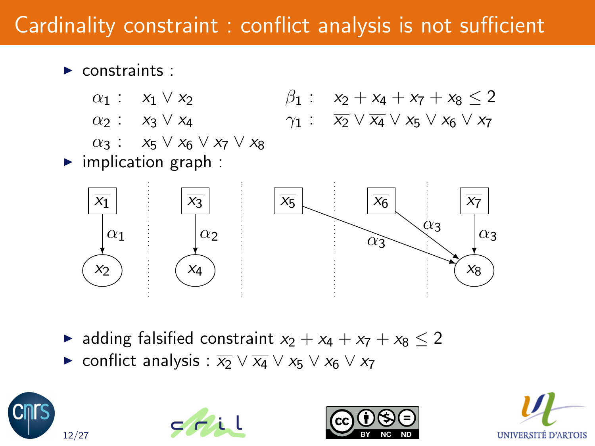- $\blacktriangleright$  constraints :
	- $\alpha_1: x_1 \vee x_2 \qquad \beta_1: x_2 + x_4 + x_7 + x_8 \leq 2$  $\alpha_2$  :  $x_3 \vee x_4$   $\gamma_1$  :  $\overline{x_2} \vee \overline{x_4} \vee x_5 \vee x_6 \vee x_7$
	- $\alpha_3$  :  $x_5 \vee x_6 \vee x_7 \vee x_8$
- $\blacktriangleright$  implication graph :



- ► adding falsified constraint  $x_2 + x_4 + x_7 + x_8 < 2$
- $\triangleright$  conflict analysis :  $\overline{x_2}$   $\vee$   $\overline{x_4}$   $\vee$   $x_5$   $\vee$   $x_6$   $\vee$   $x_7$







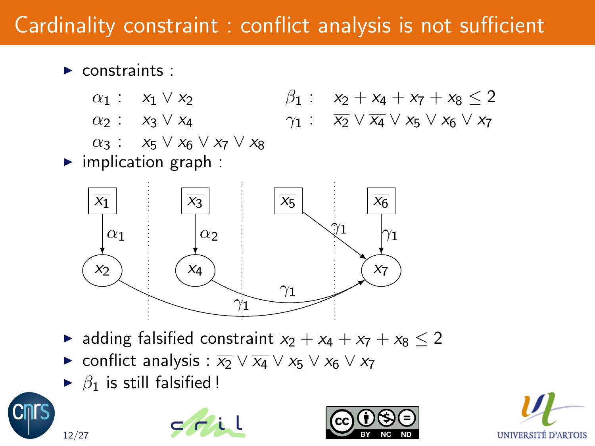- $\blacktriangleright$  constraints :
	- $\alpha_1: x_1 \vee x_2 \qquad \qquad \beta_1: x_2 + x_4 + x_7 + x_8 \leq 2$  $\alpha_2$  :  $x_3 \vee x_4$   $\gamma_1$  :  $\overline{x_2} \vee \overline{x_4} \vee x_5 \vee x_6 \vee x_7$
	- $\alpha_3$  :  $x_5 \vee x_6 \vee x_7 \vee x_8$
- $\blacktriangleright$  implication graph :



- ► adding falsified constraint  $x_2 + x_4 + x_7 + x_8 < 2$
- $\triangleright$  conflict analysis :  $\overline{x_2} \vee \overline{x_4} \vee x_5 \vee x_6 \vee x_7$
- $\triangleright$   $\beta_1$  is still f[alsified !](http://www.cril.fr/)







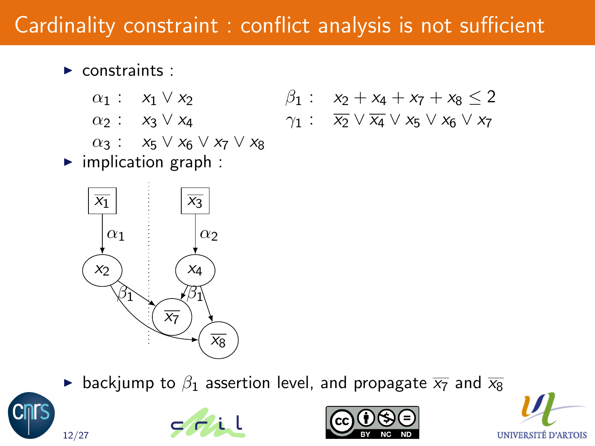- $\blacktriangleright$  constraints :
	- $\alpha_1: x_1 \vee x_2 \qquad \beta_1: x_2 + x_4 + x_7 + x_8 \leq 2$  $\alpha_2$  :  $x_3 \vee x_4$   $\gamma_1$  :  $\overline{x_2} \vee \overline{x_4} \vee x_5 \vee x_6 \vee x_7$
	- $\alpha_3$  :  $x_5 \vee x_6 \vee x_7 \vee x_8$
	-
- $\blacktriangleright$  implication graph :



**•** backjump to  $\beta_1$  [asserti](http://www.cril.fr/)on level, [and propagate](http://creativecommons.org/about/licenses/)  $\overline{x_7}$  and  $\overline{x_8}$  $\overline{x_8}$  $\overline{x_8}$ 







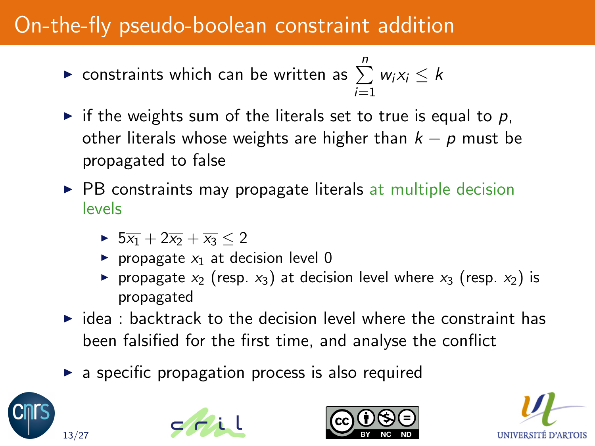# On-the-fly pseudo-boolean constraint addition

• constraints which can be written as 
$$
\sum_{i=1}^{n} w_i x_i \leq k
$$

- $\triangleright$  if the weights sum of the literals set to true is equal to p, other literals whose weights are higher than  $k - p$  must be propagated to false
- $\triangleright$  PB constraints may propagate literals at multiple decision levels
	- $\triangleright$  5 $\overline{x_1}$  + 2 $\overline{x_2}$  +  $\overline{x_3}$  < 2
	- propagate  $x_1$  at decision level 0
	- propagate  $x_2$  (resp.  $x_3$ ) at decision level where  $\overline{x_3}$  (resp.  $\overline{x_2}$ ) is propagated
- $\triangleright$  idea : backtrack to the decision level where the constraint has been falsified for the first time, and analyse the conflict
- $\triangleright$  a specific propagation process is also required







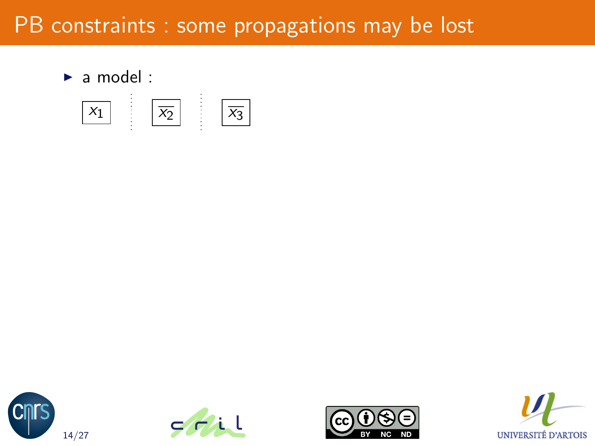$\blacktriangleright$  a model :









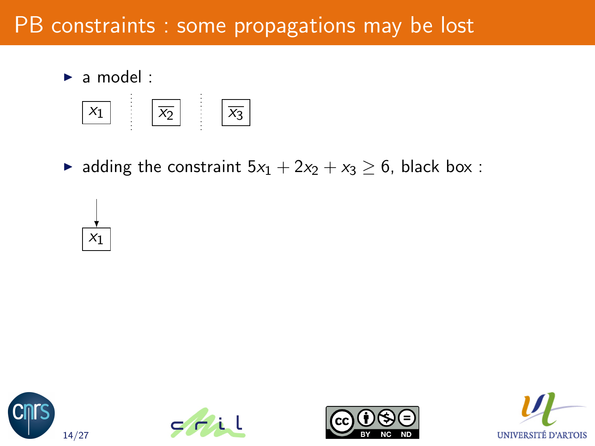$\blacktriangleright$  a model :



A adding the constraint  $5x_1 + 2x_2 + x_3 \ge 6$ , black box :









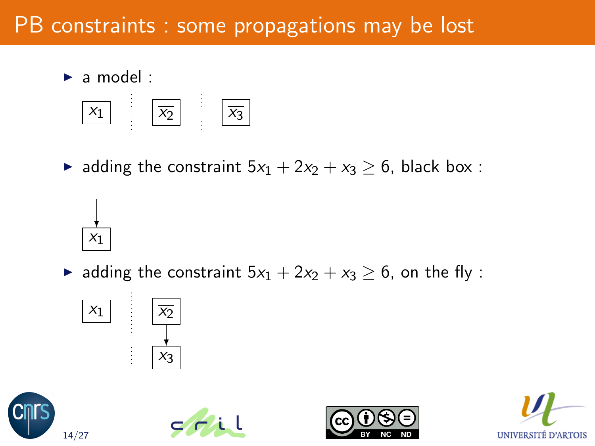$\blacktriangleright$  a model :

 $X_1$ 



• adding the constraint  $5x_1 + 2x_2 + x_3 \ge 6$ , black box :

 $\triangleright$  adding the constraint  $5x_1 + 2x_2 + x_3 \geq 6$ , on the fly :









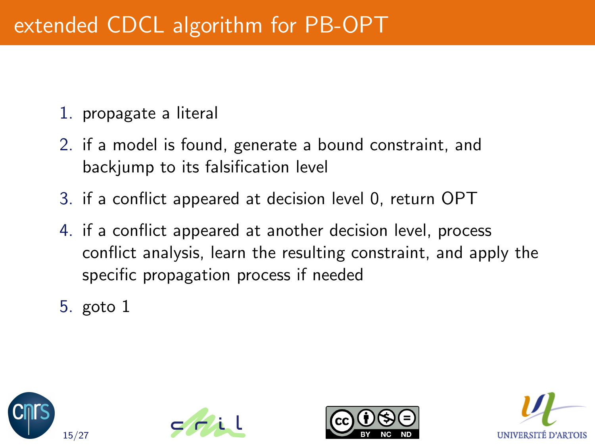# extended CDCL algorithm for PB-OPT

- 1. propagate a literal
- 2. if a model is found, generate a bound constraint, and backjump to its falsification level
- 3. if a conflict appeared at decision level 0, return OPT
- 4. if a conflict appeared at another decision level, process conflict analysis, learn the resulting constraint, and apply the specific propagation process if needed
- 5. goto 1







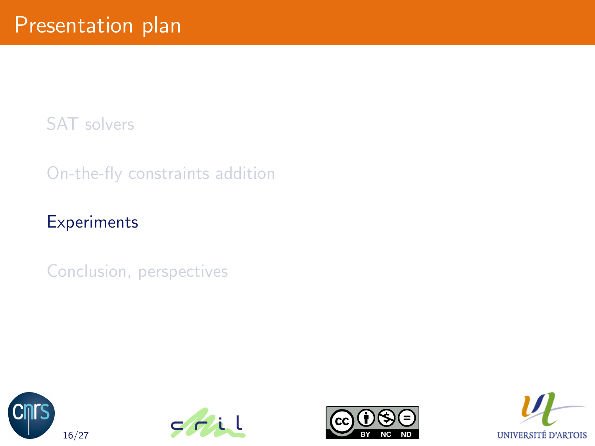[SAT solvers](#page-2-0)

[On-the-fly constraints addition](#page-17-0)

#### **[Experiments](#page-31-0)**

[Conclusion, perspectives](#page-40-0)







<span id="page-31-0"></span>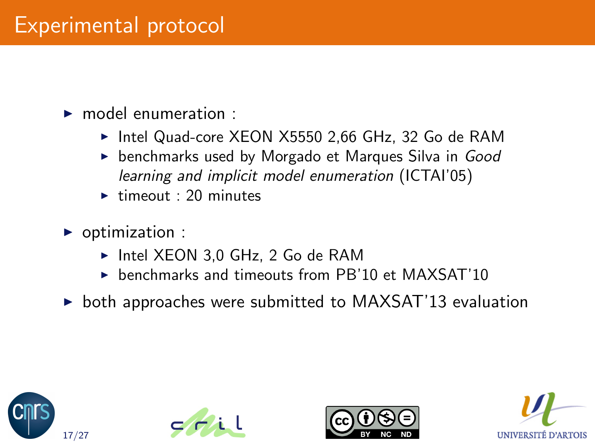### Experimental protocol

#### $\blacktriangleright$  model enumeration :

- ► Intel Quad-core XEON X5550 2,66 GHz, 32 Go de RAM
- $\triangleright$  benchmarks used by Morgado et Marques Silva in Good learning and implicit model enumeration (ICTAI'05)
- $\blacktriangleright$  timeout : 20 minutes
- $\triangleright$  optimization :
	- $\triangleright$  Intel XEON 3,0 GHz, 2 Go de RAM
	- $\triangleright$  benchmarks and timeouts from PB'10 et MAXSAT'10
- $\triangleright$  both approaches were submitted to MAXSAT'13 evaluation







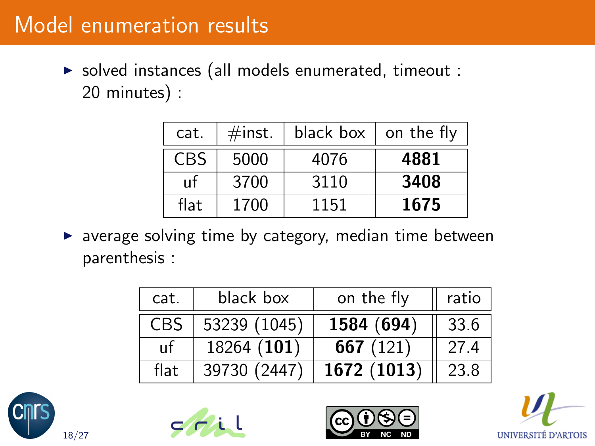### Model enumeration results

 $\triangleright$  solved instances (all models enumerated, timeout : 20 minutes) :

| cat.       | #inst. | black box $\vert$ on the fly |      |
|------------|--------|------------------------------|------|
| <b>CBS</b> | 5000   | 4076                         | 4881 |
| пf         | 3700   | 3110                         | 3408 |
| flat       | 1700   | 1151                         | 1675 |

 $\triangleright$  average solving time by category, median time between parenthesis :

| cat.       | black box    | on the fly  | ratio |
|------------|--------------|-------------|-------|
| <b>CBS</b> | 53239 (1045) | 1584 (694)  | 33.6  |
| uf         | 18264 (101)  | 667 $(121)$ | 27.4  |
| flat       | 39730 (2447) | 1672 (1013) | 23.8  |







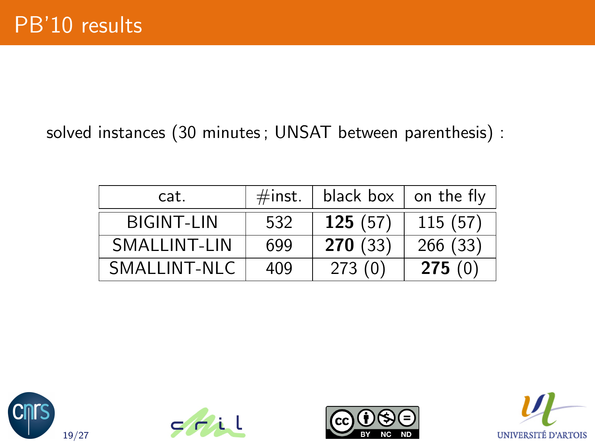#### solved instances (30 minutes ; UNSAT between parenthesis) :

| cat.              | $\#$ inst. | black box | on the fly |
|-------------------|------------|-----------|------------|
| <b>BIGINT-LIN</b> | 532        | 125(57)   | 115(57)    |
| SMAI LINT-LIN     | 699        | 270(33)   | 266(33)    |
| SMALLINT-NLC      | 409        | 273(0)    | 275(0)     |







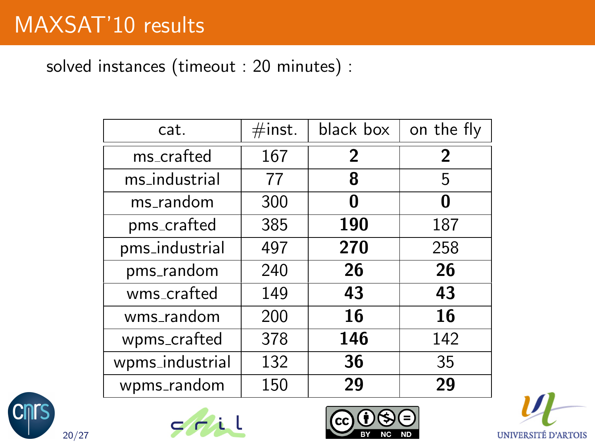### MAXSAT'10 results

solved instances (timeout : 20 minutes) :

| cat.            | $\#$ inst. | black box | on the fly     |
|-----------------|------------|-----------|----------------|
| ms_crafted      | 167        | 2         | $\overline{2}$ |
| ms_industrial   | 77         | 8         | 5              |
| ms_random       | 300        | N         | O              |
| pms_crafted     | 385        | 190       | 187            |
| pms_industrial  | 497        | 270       | 258            |
| pms_random      | 240        | 26        | 26             |
| wms_crafted     | 149        | 43        | 43             |
| wms_random      | 200        | 16        | 16             |
| wpms_crafted    | 378        | 146       | 142            |
| wpms_industrial | 132        | 36        | 35             |
| wpms_random     | 150        | 29        | 29             |







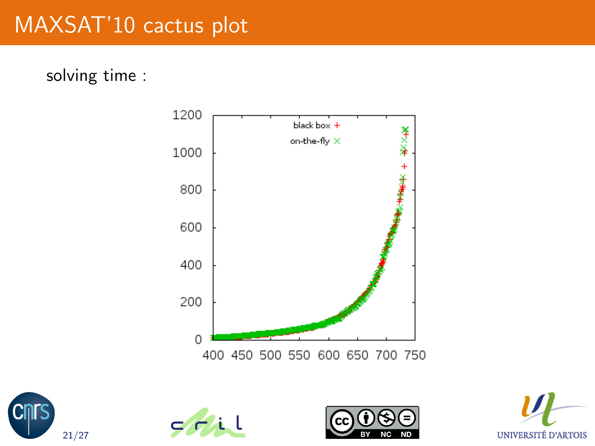# MAXSAT'10 cactus plot

solving time :









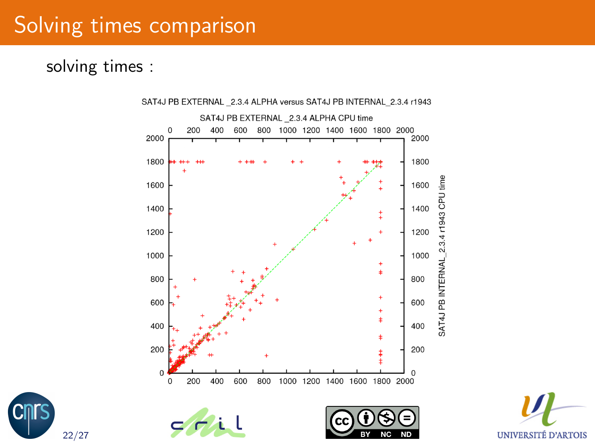### Solving times comparison

#### solving times :

22/27



UNIVERSITÉ D'ARTOIS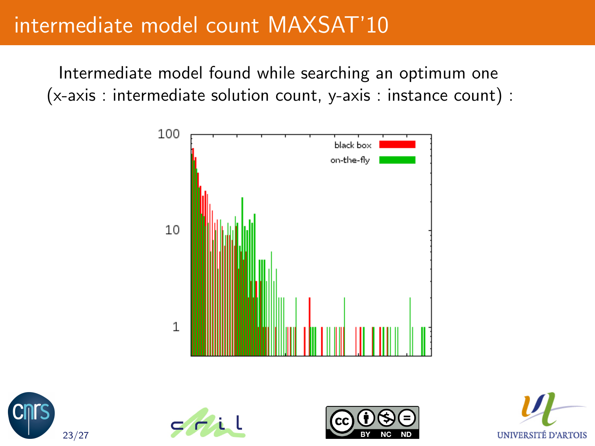### intermediate model count MAXSAT'10

Intermediate model found while searching an optimum one (x-axis : intermediate solution count, y-axis : instance count) :









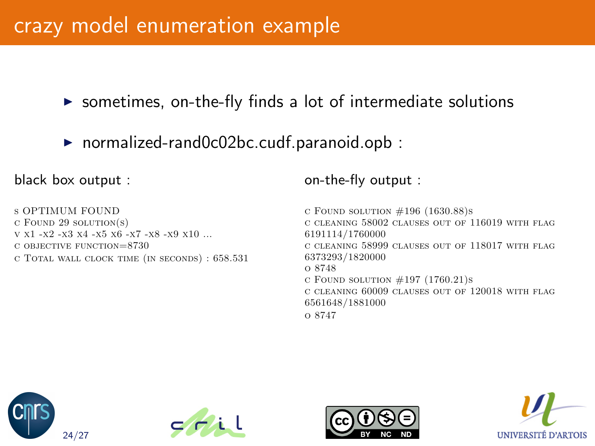#### crazy model enumeration example

 $\triangleright$  sometimes, on-the-fly finds a lot of intermediate solutions

 $\triangleright$  normalized-rand0c02bc.cudf.paranoid.opb :

black box output :

s OPTIMUM FOUND  $c$  Found 29 solution(s)  $v \times 1 - x2 - x3 \times 4 - x5 \times 6 - x7 - x8 - x9 \times 10$ c objective function=8730 c Total wall clock time (in seconds) : 658.531

#### on-the-fly output :

 $c$  Found solution  $\#196$  (1630.88)s c cleaning 58002 clauses out of 116019 with flag 6191114/1760000 c cleaning 58999 clauses out of 118017 with flag 6373293/1820000 o 8748 c FOUND SOLUTION  $#197$  (1760.21)s c cleaning 60009 clauses out of 120018 with flag 6561648/1881000 o 8747







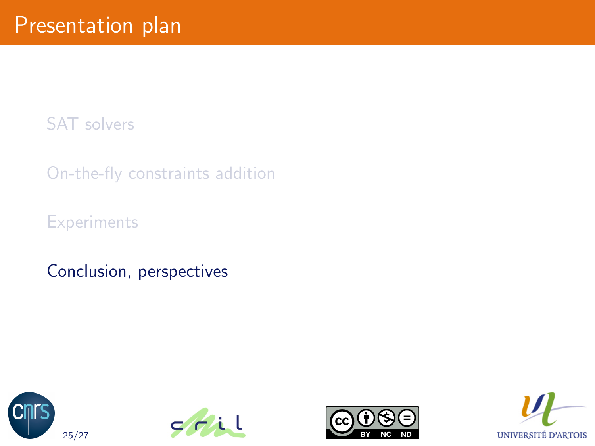[SAT solvers](#page-2-0)

[On-the-fly constraints addition](#page-17-0)

**[Experiments](#page-31-0)** 

[Conclusion, perspectives](#page-40-0)







<span id="page-40-0"></span>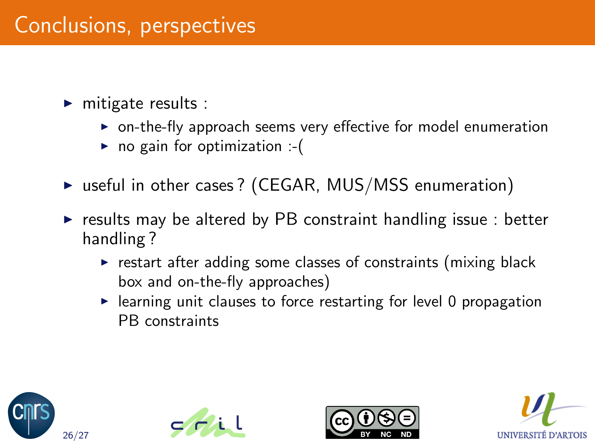# Conclusions, perspectives

- $\blacktriangleright$  mitigate results :
	- $\triangleright$  on-the-fly approach seems very effective for model enumeration
	- $\triangleright$  no gain for optimization :-(
- $\triangleright$  useful in other cases? (CEGAR, MUS/MSS enumeration)
- $\triangleright$  results may be altered by PB constraint handling issue : better handling ?
	- $\triangleright$  restart after adding some classes of constraints (mixing black box and on-the-fly approaches)
	- $\blacktriangleright$  learning unit clauses to force restarting for level 0 propagation PB constraints